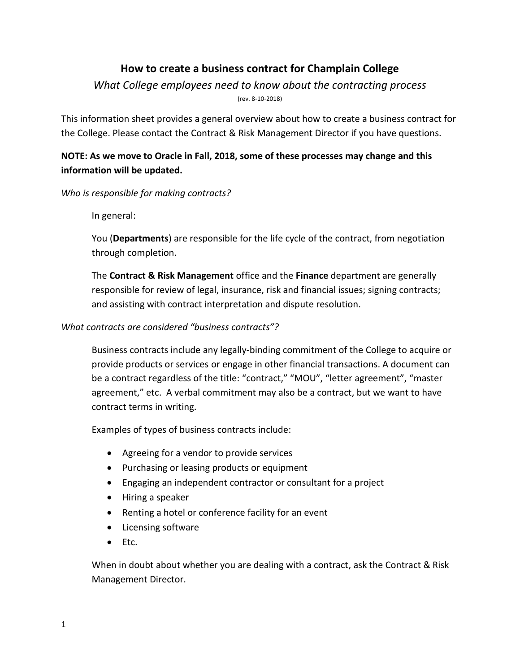# **How to create a business contract for Champlain College**

## *What College employees need to know about the contracting process* (rev. 8-10-2018)

This information sheet provides a general overview about how to create a business contract for the College. Please contact the Contract & Risk Management Director if you have questions.

## **NOTE: As we move to Oracle in Fall, 2018, some of these processes may change and this information will be updated.**

#### *Who is responsible for making contracts?*

In general:

You (**Departments**) are responsible for the life cycle of the contract, from negotiation through completion.

The **Contract & Risk Management** office and the **Finance** department are generally responsible for review of legal, insurance, risk and financial issues; signing contracts; and assisting with contract interpretation and dispute resolution.

## *What contracts are considered "business contracts"?*

Business contracts include any legally-binding commitment of the College to acquire or provide products or services or engage in other financial transactions. A document can be a contract regardless of the title: "contract," "MOU", "letter agreement", "master agreement," etc. A verbal commitment may also be a contract, but we want to have contract terms in writing.

Examples of types of business contracts include:

- Agreeing for a vendor to provide services
- Purchasing or leasing products or equipment
- Engaging an independent contractor or consultant for a project
- Hiring a speaker
- Renting a hotel or conference facility for an event
- Licensing software
- $\bullet$  Etc.

When in doubt about whether you are dealing with a contract, ask the Contract & Risk Management Director.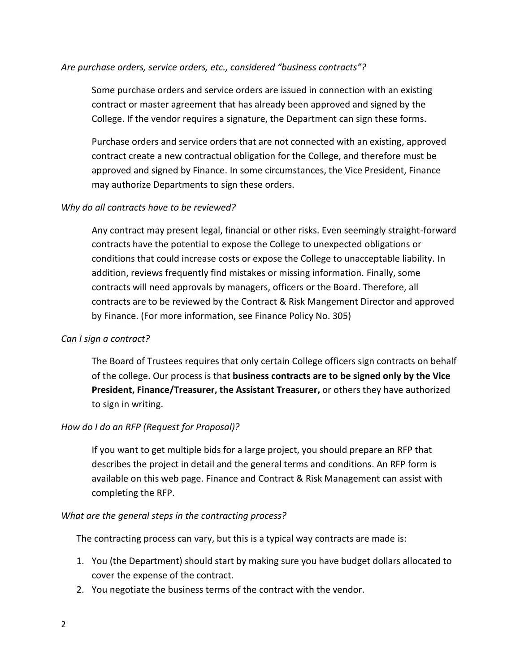#### *Are purchase orders, service orders, etc., considered "business contracts"?*

Some purchase orders and service orders are issued in connection with an existing contract or master agreement that has already been approved and signed by the College. If the vendor requires a signature, the Department can sign these forms.

Purchase orders and service orders that are not connected with an existing, approved contract create a new contractual obligation for the College, and therefore must be approved and signed by Finance. In some circumstances, the Vice President, Finance may authorize Departments to sign these orders.

#### *Why do all contracts have to be reviewed?*

Any contract may present legal, financial or other risks. Even seemingly straight-forward contracts have the potential to expose the College to unexpected obligations or conditions that could increase costs or expose the College to unacceptable liability. In addition, reviews frequently find mistakes or missing information. Finally, some contracts will need approvals by managers, officers or the Board. Therefore, all contracts are to be reviewed by the Contract & Risk Mangement Director and approved by Finance. (For more information, see Finance Policy No. 305)

## *Can I sign a contract?*

The Board of Trustees requires that only certain College officers sign contracts on behalf of the college. Our process is that **business contracts are to be signed only by the Vice President, Finance/Treasurer, the Assistant Treasurer,** or others they have authorized to sign in writing.

## *How do I do an RFP (Request for Proposal)?*

If you want to get multiple bids for a large project, you should prepare an RFP that describes the project in detail and the general terms and conditions. An RFP form is available on this web page. Finance and Contract & Risk Management can assist with completing the RFP.

#### *What are the general steps in the contracting process?*

The contracting process can vary, but this is a typical way contracts are made is:

- 1. You (the Department) should start by making sure you have budget dollars allocated to cover the expense of the contract.
- 2. You negotiate the business terms of the contract with the vendor.